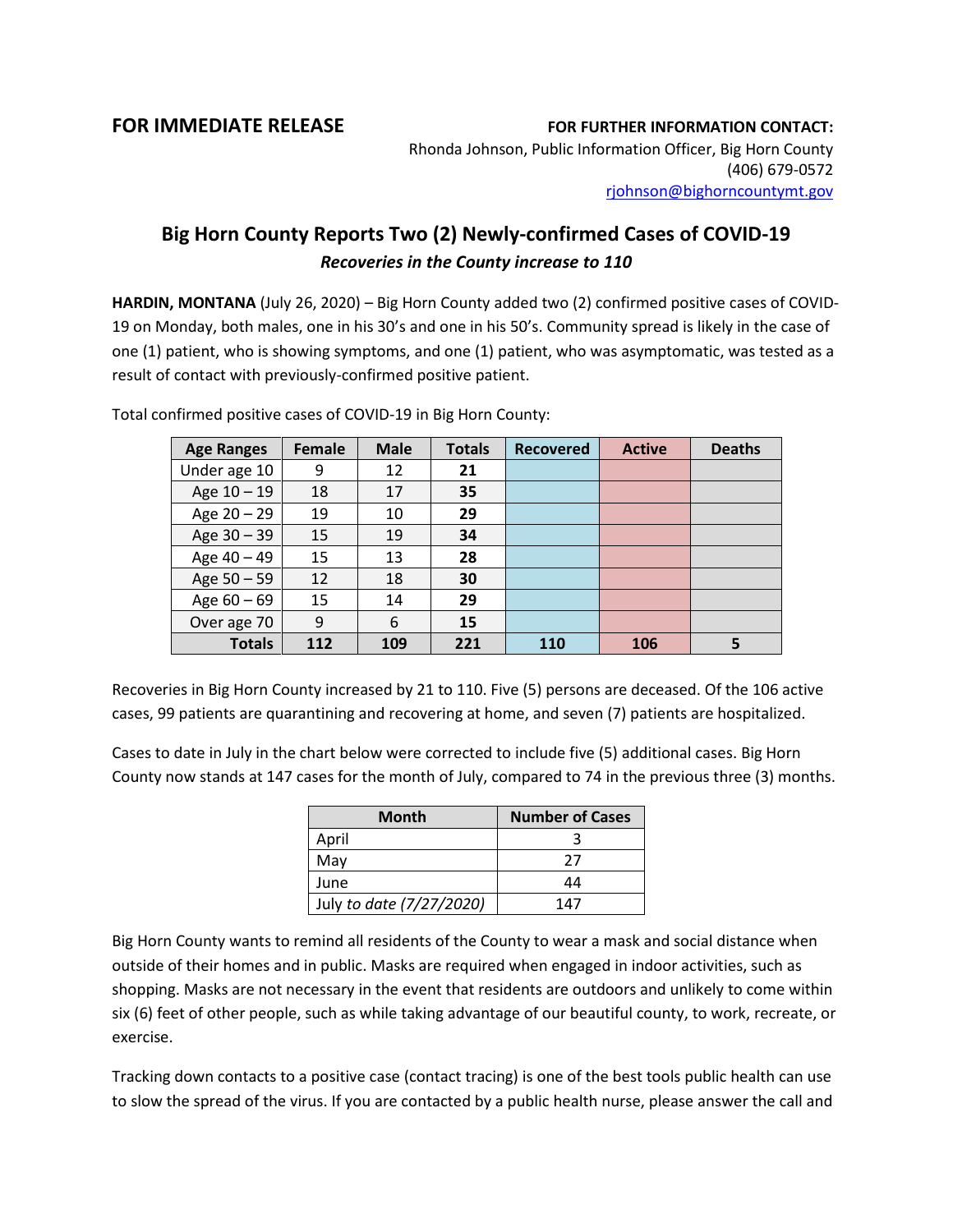**FOR IMMEDIATE RELEASE FOR FURTHER INFORMATION CONTACT:**

Rhonda Johnson, Public Information Officer, Big Horn County (406) 679-0572 [rjohnson@bighorncountymt.gov](mailto:rjohnson@bighorncountymt.gov)

## **Big Horn County Reports Two (2) Newly-confirmed Cases of COVID-19**  *Recoveries in the County increase to 110*

**HARDIN, MONTANA** (July 26, 2020) – Big Horn County added two (2) confirmed positive cases of COVID-19 on Monday, both males, one in his 30's and one in his 50's. Community spread is likely in the case of one (1) patient, who is showing symptoms, and one (1) patient, who was asymptomatic, was tested as a result of contact with previously-confirmed positive patient.

| <b>Age Ranges</b> | <b>Female</b> | <b>Male</b> | <b>Totals</b> | <b>Recovered</b> | <b>Active</b> | <b>Deaths</b> |
|-------------------|---------------|-------------|---------------|------------------|---------------|---------------|
| Under age 10      | 9             | 12          | 21            |                  |               |               |
| Age 10 - 19       | 18            | 17          | 35            |                  |               |               |
| Age 20 - 29       | 19            | 10          | 29            |                  |               |               |
| Age 30 - 39       | 15            | 19          | 34            |                  |               |               |
| Age 40 - 49       | 15            | 13          | 28            |                  |               |               |
| Age 50 - 59       | 12            | 18          | 30            |                  |               |               |
| Age $60 - 69$     | 15            | 14          | 29            |                  |               |               |
| Over age 70       | 9             | 6           | 15            |                  |               |               |
| <b>Totals</b>     | 112           | 109         | 221           | 110              | 106           |               |

Total confirmed positive cases of COVID-19 in Big Horn County:

Recoveries in Big Horn County increased by 21 to 110. Five (5) persons are deceased. Of the 106 active cases, 99 patients are quarantining and recovering at home, and seven (7) patients are hospitalized.

Cases to date in July in the chart below were corrected to include five (5) additional cases. Big Horn County now stands at 147 cases for the month of July, compared to 74 in the previous three (3) months.

| <b>Month</b>             | <b>Number of Cases</b> |
|--------------------------|------------------------|
| April                    |                        |
| May                      | 27                     |
| June                     | 44                     |
| July to date (7/27/2020) | 147                    |

Big Horn County wants to remind all residents of the County to wear a mask and social distance when outside of their homes and in public. Masks are required when engaged in indoor activities, such as shopping. Masks are not necessary in the event that residents are outdoors and unlikely to come within six (6) feet of other people, such as while taking advantage of our beautiful county, to work, recreate, or exercise.

Tracking down contacts to a positive case (contact tracing) is one of the best tools public health can use to slow the spread of the virus. If you are contacted by a public health nurse, please answer the call and